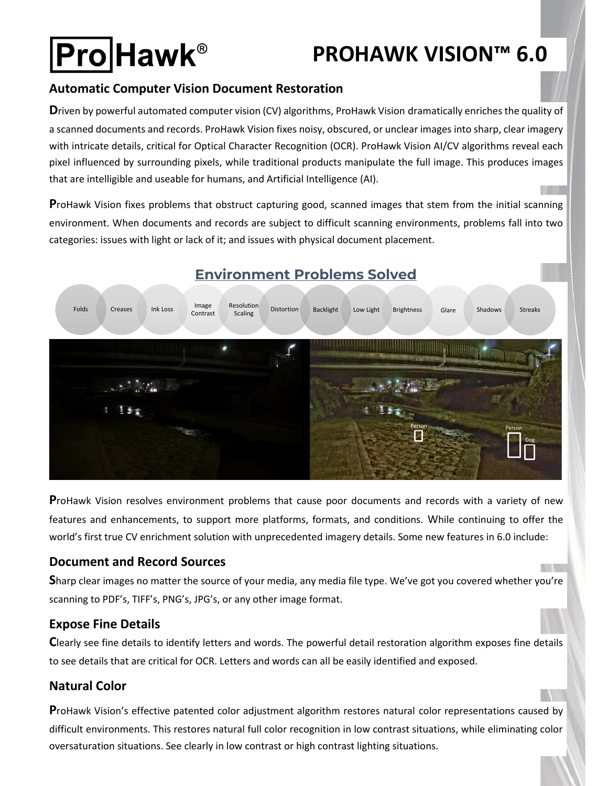# **Pro Hawk®**

## **PROHAWK VISION™ 6.0**

#### **Automatic Computer Vision Document Restoration**

**D**riven by powerful automated computer vision (CV) algorithms, ProHawk Vision dramatically enriches the quality of a scanned documents and records. ProHawk Vision fixes noisy, obscured, or unclear images into sharp, clear imagery with intricate details, critical for Optical Character Recognition (OCR). ProHawk Vision AI/CV algorithms reveal each pixel influenced by surrounding pixels, while traditional products manipulate the full image. This produces images that are intelligible and useable for humans, and Artificial Intelligence (AI).

**P**roHawk Vision fixes problems that obstruct capturing good, scanned images that stem from the initial scanning environment. When documents and records are subject to difficult scanning environments, problems fall into two categories: issues with light or lack of it; and issues with physical document placement.



### **Environment Problems Solved**

**P**roHawk Vision resolves environment problems that cause poor documents and records with a variety of new features and enhancements, to support more platforms, formats, and conditions. While continuing to offer the world's first true CV enrichment solution with unprecedented imagery details. Some new features in 6.0 include:

#### **Document and Record Sources**

**S**harp clear images no matter the source of your media, any media file type. We've got you covered whether you're scanning to PDF's, TIFF's, PNG's, JPG's, or any other image format.

#### **Expose Fine Details**

**C**learly see fine details to identify letters and words. The powerful detail restoration algorithm exposes fine details to see details that are critical for OCR. Letters and words can all be easily identified and exposed.

#### **Natural Color**

**P**roHawk Vision's effective patented color adjustment algorithm restores natural color representations caused by difficult environments. This restores natural full color recognition in low contrast situations, while eliminating color oversaturation situations. See clearly in low contrast or high contrast lighting situations.